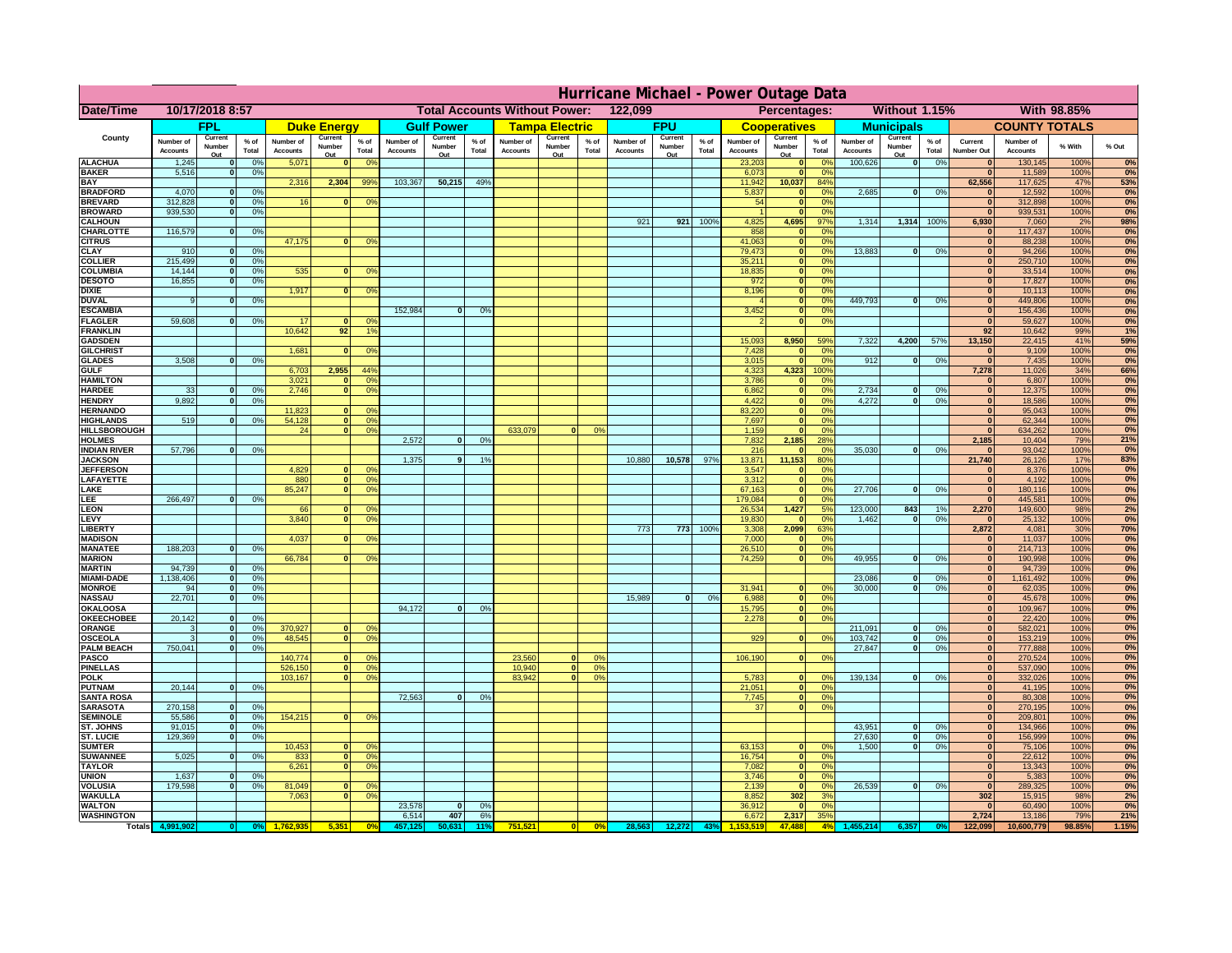|                                      | Hurricane Michael - Power Outage Data |                              |                      |                              |                                |                                                 |                              |                       |                 |                              |                                              |                     |                              |                   |                 |                              |                              |                                  |                              |                                  |                 |                              |                              |               |                  |
|--------------------------------------|---------------------------------------|------------------------------|----------------------|------------------------------|--------------------------------|-------------------------------------------------|------------------------------|-----------------------|-----------------|------------------------------|----------------------------------------------|---------------------|------------------------------|-------------------|-----------------|------------------------------|------------------------------|----------------------------------|------------------------------|----------------------------------|-----------------|------------------------------|------------------------------|---------------|------------------|
| Date/Time                            | 10/17/2018 8:57                       |                              |                      |                              |                                | 122,099<br><b>Total Accounts Without Power:</b> |                              |                       |                 |                              | Without 1.15%<br>With 98.85%<br>Percentages: |                     |                              |                   |                 |                              |                              |                                  |                              |                                  |                 |                              |                              |               |                  |
|                                      | FPL                                   |                              | <b>Duke Energy</b>   |                              |                                | <b>Gulf Power</b>                               |                              | <b>Tampa Electric</b> |                 | <b>FPU</b>                   |                                              | <b>Cooperatives</b> |                              | <b>Municipals</b> |                 |                              | <b>COUNTY TOTALS</b>         |                                  |                              |                                  |                 |                              |                              |               |                  |
| County                               | Number of<br><b>Accounts</b>          | Current<br>Number            | $%$ of<br>Total      | Number of<br><b>Accounts</b> | Current<br>Number              | $%$ of<br>Total                                 | Number of<br><b>Accounts</b> | Current<br>Number     | $%$ of<br>Total | Number of<br><b>Accounts</b> | Current<br>Number                            | $%$ of<br>Total     | Number of<br><b>Accounts</b> | Current<br>Number | $%$ of<br>Total | Number of<br><b>Accounts</b> | Current<br>Number            | $%$ of<br>Total                  | Number of<br><b>Accounts</b> | Current<br>Number                | $%$ of<br>Total | Current<br><b>Number Out</b> | Number of<br><b>Accounts</b> | % With        | % Out            |
| <b>ALACHUA</b>                       | 1,245                                 | Out<br>$\mathbf{0}$          | 0%                   | 5,071                        | Out<br>$\mathbf{0}$            | 0 <sup>9</sup>                                  |                              | Out                   |                 |                              | Out                                          |                     |                              | Out               |                 | 23,203                       | Out<br>$\mathbf{0}$          | $\Omega$ <sup>c</sup>            | 100,626                      | Out<br>$\overline{\mathbf{0}}$   | 0%              | $\bf{0}$                     | 130,145                      | 100%          | 0%               |
| <b>BAKER</b>                         | 5,516                                 | $\mathbf{0}$                 | 0%                   |                              |                                |                                                 |                              |                       |                 |                              |                                              |                     |                              |                   |                 | 6,073                        | $\mathbf{0}$                 | 0 <sup>9</sup>                   |                              |                                  |                 | $\bf{0}$                     | 11,589                       | 100%          | 0%               |
| <b>BAY</b><br><b>BRADFORD</b>        | 4,070                                 | $\mathbf{0}$                 | 0%                   | 2,316                        | 2,304                          | 99%                                             | 103,367                      | 50,215                | 49%             |                              |                                              |                     |                              |                   |                 | 11,942<br>5,837              | 10,037<br>0                  | 84%<br>0 <sup>9</sup>            | 2,685                        | 0                                | 0%              | 62,556<br>$\bf{0}$           | 117,625<br>12,592            | 47%<br>100%   | 53%<br>0%        |
| <b>BREVARD</b>                       | 312,828                               | $\mathbf{0}$                 | 0%                   | 16                           | $\bf{0}$                       | 0 <sup>o</sup>                                  |                              |                       |                 |                              |                                              |                     |                              |                   |                 | 54                           | $\mathbf{0}$                 | 0 <sup>9</sup>                   |                              |                                  |                 | $\bf{0}$                     | 312,898                      | 100%          | 0%               |
| <b>BROWARD</b>                       | 939.530                               | $\Omega$                     | 0%                   |                              |                                |                                                 |                              |                       |                 |                              |                                              |                     |                              |                   |                 |                              |                              | 0 <sup>9</sup>                   |                              |                                  |                 | $\bf{0}$                     | 939,531                      | 100%          | 0%               |
| <b>CALHOUN</b><br>CHARLOTTE          | 116,579                               | $\mathbf{0}$                 | 0%                   |                              |                                |                                                 |                              |                       |                 |                              |                                              |                     | 921                          | 921               | 100%            | 4,825<br>858                 | 4,695                        | 97%<br>0%                        | 1,314                        | 1,314                            | 100%            | 6,930                        | 7,060<br>117,437             | 2%<br>100%    | 98%<br>0%        |
| <b>CITRUS</b>                        |                                       |                              |                      | 47,175                       | $\mathbf{0}$                   | 0 <sup>o</sup>                                  |                              |                       |                 |                              |                                              |                     |                              |                   |                 | 41,063                       | $\mathbf{0}$                 | $\Omega$ <sup>c</sup>            |                              |                                  |                 | $\bf{0}$                     | 88,238                       | 100%          | 0%               |
| <b>CLAY</b><br><b>COLLIER</b>        | 910<br>215,499                        | $\mathbf{0}$<br>$\mathbf{0}$ | 0%<br>0 <sup>9</sup> |                              |                                |                                                 |                              |                       |                 |                              |                                              |                     |                              |                   |                 | 79,473<br>35,211             | $\mathbf{0}$<br>$\mathbf{0}$ | 0 <sup>9</sup><br>0 <sup>9</sup> | 13,883                       | 0                                | 0%              | $\bf{0}$<br>$\bf{0}$         | 94,266<br>250,710            | 100%<br>100%  | 0%<br>0%         |
| <b>COLUMBIA</b>                      | 14,144                                | $\mathbf{0}$                 | 0%                   | 535                          | $\bf{0}$                       | 0 <sup>9</sup>                                  |                              |                       |                 |                              |                                              |                     |                              |                   |                 | 18,835                       | $\mathbf{0}$                 | 0 <sup>9</sup>                   |                              |                                  |                 | $\bf{0}$                     | 33,514                       | 100%          | 0%               |
| <b>DESOTO</b>                        | 16,855                                | $\mathbf{0}$                 | 0%                   |                              |                                |                                                 |                              |                       |                 |                              |                                              |                     |                              |                   |                 | 972                          | $\mathbf{0}$                 | 0 <sup>9</sup>                   |                              |                                  |                 | $\bf{0}$                     | 17,827                       | 100%          | 0%               |
| <b>DIXIE</b><br><b>DUVAL</b>         | 9                                     | $\Omega$                     | 0%                   | 1,917                        | $\Omega$                       | 0 <sup>9</sup>                                  |                              |                       |                 |                              |                                              |                     |                              |                   |                 | 8,196                        | $\mathbf{0}$<br>$\mathbf{0}$ | 0 <sup>9</sup><br>0 <sup>9</sup> | 449.793                      | $\mathbf{0}$                     | 0%              | $\bf{0}$<br>$\bf{0}$         | 10,113<br>449,806            | 100%<br>100%  | 0%<br>0%         |
| <b>ESCAMBIA</b>                      |                                       |                              |                      |                              |                                |                                                 | 152,984                      | $\Omega$              | 0%              |                              |                                              |                     |                              |                   |                 | 3,452                        | $\mathbf{0}$                 | 0%                               |                              |                                  |                 | $\mathbf{0}$                 | 156,436                      | 100%          | 0%               |
| <b>FLAGLER</b>                       | 59,608                                | $\Omega$                     | 0%                   | 17                           |                                | 0°                                              |                              |                       |                 |                              |                                              |                     |                              |                   |                 |                              | $\mathbf{0}$                 | 0%                               |                              |                                  |                 | $\bf{0}$                     | 59,627                       | 100%          | 0%               |
| <b>FRANKLIN</b><br><b>GADSDEN</b>    |                                       |                              |                      | 10,642                       | 92                             | 1 <sup>5</sup>                                  |                              |                       |                 |                              |                                              |                     |                              |                   |                 | 15,093                       | 8,950                        | 59%                              | 7,322                        | 4,200                            | 57%             | 92<br>13,150                 | 10,642<br>22,415             | 99%<br>41%    | 1%<br>59%        |
| <b>GILCHRIST</b>                     |                                       |                              |                      | 1,681                        | $\mathbf{0}$                   | 0 <sup>9</sup>                                  |                              |                       |                 |                              |                                              |                     |                              |                   |                 | 7,428                        | $\mathbf{0}$                 | 0%                               |                              |                                  |                 | $\mathbf{0}$                 | 9,109                        | 100%          | 0%               |
| <b>GLADES</b>                        | 3,508                                 | nl                           | 0%                   |                              | 2,955                          | 44 <sup>°</sup>                                 |                              |                       |                 |                              |                                              |                     |                              |                   |                 | 3,015                        | $\Omega$                     | 0%                               | 912                          | $\mathbf{0}$                     | 0%              | $\mathbf{0}$<br>7,278        | 7,435                        | 100%<br>34%   | 0%               |
| <b>GULF</b><br><b>HAMILTON</b>       |                                       |                              |                      | 6,703<br>3,021               | $\Omega$                       | 0 <sup>9</sup>                                  |                              |                       |                 |                              |                                              |                     |                              |                   |                 | 4,323<br>3,786               | 4,323<br>$\Omega$            | 100%<br>0 <sup>9</sup>           |                              |                                  |                 | $\bf{0}$                     | 11,026<br>6,807              | 100%          | 66%<br>0%        |
| <b>HARDEE</b>                        | 33                                    | $\mathbf{0}$                 | 0%                   | 2.746                        | $\Omega$                       | 0 <sup>9</sup>                                  |                              |                       |                 |                              |                                              |                     |                              |                   |                 | 6,862                        | $\mathbf{0}$                 | 0%                               | 2,734                        | $\mathbf{0}$                     | 0%              | $\mathbf{0}$                 | 12,375                       | 100%          | 0%               |
| <b>HENDRY</b>                        | 9,892                                 | $\Omega$                     | 0%                   | 11,823                       |                                | 0 <sup>9</sup>                                  |                              |                       |                 |                              |                                              |                     |                              |                   |                 | 4,422                        | $\Omega$<br>$\mathbf{0}$     | 0%<br>0%                         | 4,272                        | ol                               | 0%              | 0 <br>$\mathbf{0}$           | 18,586                       | 100%<br>100%  | 0%               |
| <b>HERNANDO</b><br><b>HIGHLANDS</b>  | 519                                   | $\Omega$                     | 0%                   | 54,128                       | $\mathbf{0}$                   | 0 <sup>9</sup>                                  |                              |                       |                 |                              |                                              |                     |                              |                   |                 | 83,220<br>7,697              | $\mathbf{0}$                 | 0%                               |                              |                                  |                 | $\mathbf{0}$                 | 95,043<br>62,344             | 100%          | 0%<br>0%         |
| <b>HILLSBOROUGH</b>                  |                                       |                              |                      | 24                           | 0                              | 0 <sup>9</sup>                                  |                              |                       |                 | 633,079                      | $\Omega$                                     | 0%                  |                              |                   |                 | 1,159                        | $\mathbf{0}$                 | 0%                               |                              |                                  |                 | $\mathbf{0}$                 | 634,262                      | 100%          | 0%               |
| <b>HOLMES</b><br><b>INDIAN RIVER</b> | 57,796                                | 0I                           | 0%                   |                              |                                |                                                 | 2,572                        | $\Omega$              | 0%              |                              |                                              |                     |                              |                   |                 | 7,832<br>216                 | 2,185                        | 28%<br>0 <sup>9</sup>            | 35,030                       | $\mathbf{0}$                     | 0%              | 2,185<br>$\mathbf{0}$        | 10,404<br>93,042             | 79%<br>100%   | 21%<br>0%        |
| <b>JACKSON</b>                       |                                       |                              |                      |                              |                                |                                                 | 1.375                        | $\mathbf{Q}$          | 1%              |                              |                                              |                     | 10,880                       | 10.578            | 97%             | 13,871                       | 11.153                       | 80%                              |                              |                                  |                 | 21.740                       | 26,126                       | 17%           | 83%              |
| <b>JEFFERSON</b>                     |                                       |                              |                      | 4.829                        | n.                             | 0 <sup>9</sup>                                  |                              |                       |                 |                              |                                              |                     |                              |                   |                 | 3,547                        | $\Omega$                     | 0 <sup>9</sup>                   |                              |                                  |                 | $\mathbf{0}$                 | 8,376                        | 100%          | 0%               |
| LAFAYETTE<br>LAKE                    |                                       |                              |                      | 880<br>85,247                | $\overline{0}$<br>$\mathbf{0}$ | 0%<br>0 <sup>9</sup>                            |                              |                       |                 |                              |                                              |                     |                              |                   |                 | 3.312<br>67,163              | $\Omega$<br>$\Omega$         | 0%<br>0%                         | 27,706                       | n l                              | 0%              | 0 <br> 0                     | 4.192<br>180,116             | 100%<br>100%  | 0%<br>0%         |
| <b>EE</b>                            | 266,497                               |                              | 0%                   |                              |                                |                                                 |                              |                       |                 |                              |                                              |                     |                              |                   |                 | 179,084                      |                              | 0%                               |                              |                                  |                 | 0                            | 445,581                      | 100%          | 0%               |
| LEON                                 |                                       |                              |                      | 66                           | $\mathbf{0}$                   | 0 <sup>o</sup>                                  |                              |                       |                 |                              |                                              |                     |                              |                   |                 | 26,534                       | 1,427                        | 5%                               | 123,000                      | 843                              | 1%              | 2,270                        | 149,600                      | 98%           | 2%               |
| LEVY<br><b>LIBERT</b>                |                                       |                              |                      | 3,840                        | $\Omega$                       | 0 <sup>9</sup>                                  |                              |                       |                 |                              |                                              |                     | 773                          | 773               | 100%            | 19,830<br>3,308              | 2,099                        | 0 <sup>9</sup><br>63%            | 1,462                        | $\mathbf{0}$                     | 0%              | $\mathbf{0}$<br>2,872        | 25,132<br>4,081              | 100%<br>30%   | 0%<br><b>70%</b> |
| <b>MADISON</b>                       |                                       |                              |                      | 4,037                        |                                | 0 <sup>9</sup>                                  |                              |                       |                 |                              |                                              |                     |                              |                   |                 | 7,000                        |                              | 0%                               |                              |                                  |                 | $\mathbf{0}$                 | 11,037                       | 100%          | 0%               |
| <b>MANATEE</b><br><b>MARION</b>      | 188,203                               | $\mathbf{0}$                 | 0%                   | 66,784                       |                                | 0°                                              |                              |                       |                 |                              |                                              |                     |                              |                   |                 | 26,510<br>74,259             | $\Omega$                     | 0%<br>0%                         | 49,955                       | $\mathbf{0}$                     | 0%              | 0 <br> 0                     | 214,713<br>190,998           | 100%<br>100%  | 0%<br>0%         |
| <b>MARTIN</b>                        | 94,739                                | 0                            | 0%                   |                              |                                |                                                 |                              |                       |                 |                              |                                              |                     |                              |                   |                 |                              |                              |                                  |                              |                                  |                 | 0                            | 94,739                       | 100%          | 0%               |
| <b>MIAMI-DADE</b>                    | 1,138,406                             | 0                            | 0%                   |                              |                                |                                                 |                              |                       |                 |                              |                                              |                     |                              |                   |                 |                              |                              |                                  | 23,086                       | $\Omega$                         | 0%              | 0                            | 1,161,492                    | 100%          | 0%               |
| <b>MONROE</b><br><b>NASSAU</b>       | 94<br>22,701                          | 0 <br> 0                     | 0%<br>0%             |                              |                                |                                                 |                              |                       |                 |                              |                                              |                     | 15,989                       | 0                 | 0%              | 31,941<br>6,988              | $\mathbf{0}$                 | 0 <sup>o</sup><br>0 <sup>9</sup> | 30,000                       | $\Omega$                         | 0%              | 0 <br>$\mathbf{0}$           | 62,035<br>45,678             | 100%<br>100%  | 0%<br>0%         |
| OKALOOS/                             |                                       |                              |                      |                              |                                |                                                 | 94,172                       | $\mathbf{0}$          | 0%              |                              |                                              |                     |                              |                   |                 | 15,795                       | 0                            | 0%                               |                              |                                  |                 | $\mathbf{0}$                 | 109,967                      | 100%          | 0%               |
| <b>OKEECHOBEE</b>                    | 20,142                                | 0                            | 0%                   |                              |                                |                                                 |                              |                       |                 |                              |                                              |                     |                              |                   |                 | 2,278                        | 0                            | 0%                               |                              |                                  |                 | $\mathbf{0}$                 | 22,420                       | 100%          | 0%               |
| ORANGE<br><b>OSCEOLA</b>             | 3<br>3                                | 0 <br> 0                     | 0%<br>0%             | 370,927<br>48,545            | $\mathbf{0}$<br>$\Omega$       | 0 <sup>o</sup><br>0 <sup>9</sup>                |                              |                       |                 |                              |                                              |                     |                              |                   |                 | 929                          | $\Omega$                     | 0 <sup>9</sup>                   | 211,091<br>103,742           | $\mathbf{0}$<br> 0               | 0%<br>0%        | $\mathbf{0}$<br> 0           | 582,021<br>153,219           | 100%<br>100%  | 0%<br>0%         |
| <b>PALM BEACH</b>                    | 750,041                               | 0                            | 0%                   |                              |                                |                                                 |                              |                       |                 |                              |                                              |                     |                              |                   |                 |                              |                              |                                  | 27,847                       | $\mathbf{0}$                     | 0%              | $\mathbf{0}$                 | 777,888                      | 100%          | 0%               |
| <b>PASCO</b>                         |                                       |                              |                      | 140,774                      | $\mathbf{0}$                   | 0 <sup>9</sup>                                  |                              |                       |                 | 23,560                       | $\Omega$                                     | 0 <sup>9</sup>      |                              |                   |                 | 106,190                      | 0                            | 0 <sup>9</sup>                   |                              |                                  |                 | $\mathbf{0}$<br>$\mathbf{0}$ | 270,524                      | 100%          | 0%               |
| <b>PINELLAS</b><br><b>POLK</b>       |                                       |                              |                      | 526,150<br>103,167           | 0 <br> 0                       | 0 <sup>9</sup><br>0 <sup>9</sup>                |                              |                       |                 | 10,940<br>83,942             | 0 <br> 0                                     | 0%<br>0%            |                              |                   |                 | 5,783                        | $\Omega$                     | no                               | 139,134                      | 0                                | 0%              | $\mathbf{0}$                 | 537,090<br>332,026           | 100%<br>100%  | 0%<br>0%         |
| <b>PUTNAM</b>                        | 20,144                                | 0                            | 0%                   |                              |                                |                                                 |                              |                       |                 |                              |                                              |                     |                              |                   |                 | 21,051                       | $\mathbf{0}$                 | 0 <sup>9</sup>                   |                              |                                  |                 | $\mathbf{0}$                 | 41,195                       | 100%          | 0%               |
| <b>SANTA ROSA</b><br><b>SARASOTA</b> | 270,158                               | 0                            | 0%                   |                              |                                |                                                 | 72,563                       | 0                     | 0%              |                              |                                              |                     |                              |                   |                 | 7,745<br>37                  | 0 <br>$\overline{0}$         | 0%<br>0%                         |                              |                                  |                 | $\mathbf{0}$<br>$\mathbf{0}$ | 80,308<br>270,195            | 100%<br>100%  | 0%               |
| <b>SEMINOLE</b>                      | 55,586                                | 0                            | 0%                   | 154,215                      | $\mathbf{0}$                   | 0 <sup>9</sup>                                  |                              |                       |                 |                              |                                              |                     |                              |                   |                 |                              |                              |                                  |                              |                                  |                 | $\mathbf{0}$                 | 209,801                      | 100%          | 0%<br>0%         |
| <b>ST. JOHNS</b>                     | 91,015                                | 0                            | 0%                   |                              |                                |                                                 |                              |                       |                 |                              |                                              |                     |                              |                   |                 |                              |                              |                                  | 43,951                       | 0                                | 0%              | $\mathbf{0}$                 | 134,966                      | 100%          | 0%               |
| <b>ST. LUCIE</b><br><b>SUMTER</b>    | 129.369                               | $\mathbf{0}$                 | 0%                   | 10,453                       | $\mathbf{0}$                   | 0 <sup>9</sup>                                  |                              |                       |                 |                              |                                              |                     |                              |                   |                 | 63,153                       | $\mathbf{0}$                 | 0 <sup>o</sup>                   | 27,630<br>1.500              | $\overline{0}$<br>$\overline{0}$ | 0%<br>0%        | 0 <br>$\mathbf{0}$           | 156.999<br>75,106            | 100%<br>100%  | 0%<br>0%         |
| <b>SUWANNEE</b>                      | 5,025                                 | $\Omega$                     | 0%                   | 833                          | 0                              | 0 <sup>9</sup>                                  |                              |                       |                 |                              |                                              |                     |                              |                   |                 | 16,754                       | $\mathbf{0}$                 | 0 <sup>9</sup>                   |                              |                                  |                 | $\mathbf{0}$                 | 22,612                       | 100%          | 0%               |
| <b>TAYLOR</b>                        |                                       |                              |                      | 6,261                        | 0                              | 0 <sup>9</sup>                                  |                              |                       |                 |                              |                                              |                     |                              |                   |                 | 7,082                        | $\mathbf{0}$                 | 0%                               |                              |                                  |                 | $\mathbf{0}$                 | 13,343                       | 100%          | 0%               |
| <b>UNION</b><br><b>VOLUSIA</b>       | 1,637<br>179,598                      | $\mathbf{0}$<br>$\mathbf{0}$ | 0%<br>0%             | 81,049                       |                                | 0 <sup>9</sup>                                  |                              |                       |                 |                              |                                              |                     |                              |                   |                 | 3,746<br>2,139               | $\mathbf{0}$<br>$\mathbf{0}$ | 0 <sup>9</sup><br>0 <sup>9</sup> | 26,539                       | 0                                | 0%              | $\mathbf{0}$<br>$\mathbf{0}$ | 5,383<br>289,325             | 100%<br>100%  | 0%<br>0%         |
| <b>WAKULLA</b>                       |                                       |                              |                      | 7,063                        | $\bf{0}$                       | 0 <sup>9</sup>                                  |                              |                       |                 |                              |                                              |                     |                              |                   |                 | 8,852                        | 302                          | 3%                               |                              |                                  |                 | 302                          | 15,915                       | 98%           | 2%               |
| <b>WALTON</b>                        |                                       |                              |                      |                              |                                |                                                 | 23,578                       | $\mathbf{0}$          | 0%              |                              |                                              |                     |                              |                   |                 | 36,912                       | $\mathbf{0}$                 | 0 <sup>9</sup>                   |                              |                                  |                 | $\mathbf{0}$                 | 60,490                       | 100%          | 0%               |
| <b>WASHINGTON</b><br><b>Totals</b>   |                                       |                              |                      |                              |                                |                                                 | 6,514                        | 407                   | 6%<br>11°       | 751,52                       |                                              | 0%                  | 28,56                        | 12,272            | 43              | 6,672                        | 2,317<br>47,488              | 35%<br>4%                        |                              | 6.357                            |                 | 2,724<br>122,099             | 13,186<br>10,600,779         | 79%<br>98.85% | 21%<br>1.15%     |
|                                      |                                       |                              |                      |                              |                                |                                                 |                              |                       |                 |                              |                                              |                     |                              |                   |                 |                              |                              |                                  |                              |                                  |                 |                              |                              |               |                  |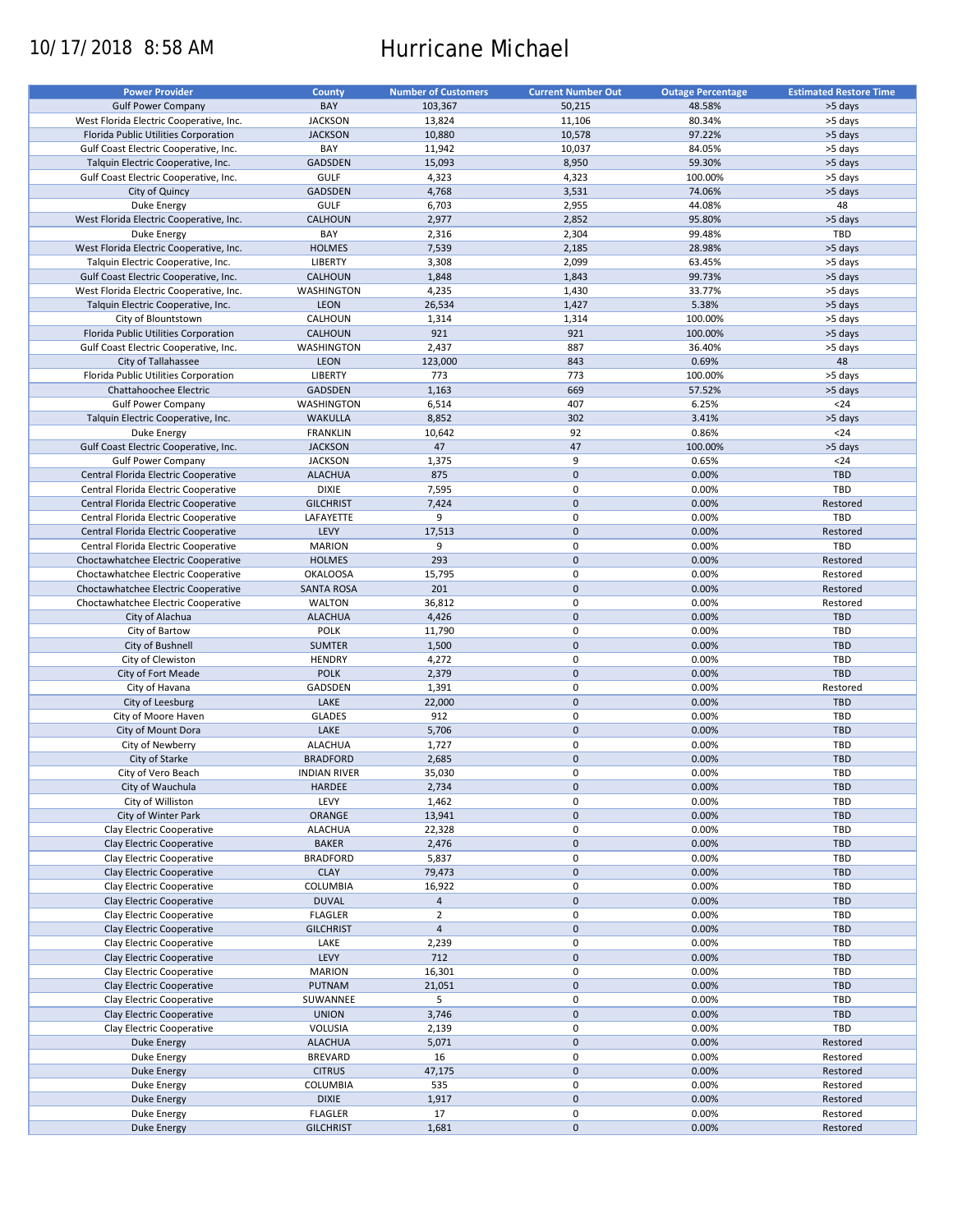# 10/17/2018 8:58 AM Hurricane Michael

| <b>Power Provider</b>                   | <b>County</b>       | <b>Number of Customers</b> | <b>Current Number Out</b> | <b>Outage Percentage</b> | <b>Estimated Restore Time</b> |
|-----------------------------------------|---------------------|----------------------------|---------------------------|--------------------------|-------------------------------|
|                                         |                     |                            |                           |                          |                               |
| <b>Gulf Power Company</b>               | BAY                 | 103,367                    | 50,215                    | 48.58%                   | >5 days                       |
| West Florida Electric Cooperative, Inc. | <b>JACKSON</b>      | 13,824                     | 11,106                    | 80.34%                   | >5 days                       |
| Florida Public Utilities Corporation    | <b>JACKSON</b>      | 10,880                     | 10,578                    | 97.22%                   | >5 days                       |
| Gulf Coast Electric Cooperative, Inc.   | BAY                 | 11,942                     | 10,037                    | 84.05%                   | >5 days                       |
| Talquin Electric Cooperative, Inc.      | <b>GADSDEN</b>      | 15,093                     | 8,950                     | 59.30%                   | >5 days                       |
| Gulf Coast Electric Cooperative, Inc.   | <b>GULF</b>         | 4,323                      | 4,323                     | 100.00%                  | >5 days                       |
|                                         |                     |                            |                           |                          |                               |
| City of Quincy                          | <b>GADSDEN</b>      | 4,768                      | 3,531                     | 74.06%                   | >5 days                       |
| Duke Energy                             | <b>GULF</b>         | 6,703                      | 2,955                     | 44.08%                   | 48                            |
| West Florida Electric Cooperative, Inc. | <b>CALHOUN</b>      | 2,977                      | 2,852                     | 95.80%                   | >5 days                       |
| Duke Energy                             | BAY                 | 2,316                      | 2,304                     | 99.48%                   | TBD                           |
| West Florida Electric Cooperative, Inc. | <b>HOLMES</b>       | 7,539                      | 2,185                     | 28.98%                   | >5 days                       |
| Talquin Electric Cooperative, Inc.      | <b>LIBERTY</b>      | 3,308                      | 2,099                     | 63.45%                   | >5 days                       |
| Gulf Coast Electric Cooperative, Inc.   | <b>CALHOUN</b>      | 1,848                      | 1,843                     | 99.73%                   | >5 days                       |
|                                         |                     |                            |                           |                          |                               |
| West Florida Electric Cooperative, Inc. | WASHINGTON          | 4,235                      | 1,430                     | 33.77%                   | >5 days                       |
| Talquin Electric Cooperative, Inc.      | <b>LEON</b>         | 26,534                     | 1,427                     | 5.38%                    | >5 days                       |
| City of Blountstown                     | CALHOUN             | 1,314                      | 1,314                     | 100.00%                  | >5 days                       |
| Florida Public Utilities Corporation    | <b>CALHOUN</b>      | 921                        | 921                       | 100.00%                  | >5 days                       |
| Gulf Coast Electric Cooperative, Inc.   | WASHINGTON          | 2,437                      | 887                       | 36.40%                   | >5 days                       |
| City of Tallahassee                     | <b>LEON</b>         | 123,000                    | 843                       | 0.69%                    | 48                            |
|                                         |                     |                            |                           |                          |                               |
| Florida Public Utilities Corporation    | LIBERTY             | 773                        | 773                       | 100.00%                  | >5 days                       |
| Chattahoochee Electric                  | <b>GADSDEN</b>      | 1,163                      | 669                       | 57.52%                   | >5 days                       |
| <b>Gulf Power Company</b>               | WASHINGTON          | 6,514                      | 407                       | 6.25%                    | $24$                          |
| Talquin Electric Cooperative, Inc.      | <b>WAKULLA</b>      | 8,852                      | 302                       | 3.41%                    | >5 days                       |
| <b>Duke Energy</b>                      | <b>FRANKLIN</b>     | 10,642                     | 92                        | 0.86%                    | $24$                          |
| Gulf Coast Electric Cooperative, Inc.   | <b>JACKSON</b>      | 47                         | 47                        | 100.00%                  | >5 days                       |
|                                         | <b>JACKSON</b>      |                            | 9                         | 0.65%                    | $24$                          |
| <b>Gulf Power Company</b>               |                     | 1,375                      |                           |                          |                               |
| Central Florida Electric Cooperative    | <b>ALACHUA</b>      | 875                        | $\mathbf 0$               | 0.00%                    | <b>TBD</b>                    |
| Central Florida Electric Cooperative    | <b>DIXIE</b>        | 7,595                      | $\pmb{0}$                 | 0.00%                    | TBD                           |
| Central Florida Electric Cooperative    | <b>GILCHRIST</b>    | 7,424                      | $\mathbf 0$               | 0.00%                    | Restored                      |
| Central Florida Electric Cooperative    | LAFAYETTE           | 9                          | $\pmb{0}$                 | 0.00%                    | TBD                           |
| Central Florida Electric Cooperative    | LEVY                | 17,513                     | $\mathbf 0$               | 0.00%                    | Restored                      |
| Central Florida Electric Cooperative    | <b>MARION</b>       | 9                          | $\pmb{0}$                 | 0.00%                    | TBD                           |
| Choctawhatchee Electric Cooperative     | <b>HOLMES</b>       | 293                        | $\mathbf 0$               | 0.00%                    | Restored                      |
|                                         |                     |                            |                           |                          |                               |
| Choctawhatchee Electric Cooperative     | <b>OKALOOSA</b>     | 15,795                     | $\pmb{0}$                 | 0.00%                    | Restored                      |
| Choctawhatchee Electric Cooperative     | <b>SANTA ROSA</b>   | 201                        | $\mathbf 0$               | 0.00%                    | Restored                      |
| Choctawhatchee Electric Cooperative     | <b>WALTON</b>       | 36,812                     | 0                         | 0.00%                    | Restored                      |
| City of Alachua                         | <b>ALACHUA</b>      | 4,426                      | $\mathbf 0$               | 0.00%                    | <b>TBD</b>                    |
| City of Bartow                          | <b>POLK</b>         | 11,790                     | $\pmb{0}$                 | 0.00%                    | TBD                           |
| City of Bushnell                        | <b>SUMTER</b>       | 1,500                      | $\mathbf 0$               | 0.00%                    | <b>TBD</b>                    |
| City of Clewiston                       | <b>HENDRY</b>       | 4,272                      | $\mathbf 0$               | 0.00%                    | TBD                           |
| City of Fort Meade                      | <b>POLK</b>         | 2,379                      | $\mathbf 0$               | 0.00%                    | <b>TBD</b>                    |
| City of Havana                          | GADSDEN             | 1,391                      | 0                         | 0.00%                    | Restored                      |
|                                         |                     |                            |                           |                          |                               |
| City of Leesburg                        | LAKE                | 22,000                     | $\mathbf 0$               | 0.00%                    | <b>TBD</b>                    |
| City of Moore Haven                     | <b>GLADES</b>       | 912                        | 0                         | 0.00%                    | TBD                           |
| City of Mount Dora                      | LAKE                | 5,706                      | $\mathbf 0$               | 0.00%                    | <b>TBD</b>                    |
| City of Newberry                        | <b>ALACHUA</b>      | 1,727                      | 0                         | 0.00%                    | <b>TBD</b>                    |
| City of Starke                          | <b>BRADFORD</b>     | 2,685                      | $\pmb{0}$                 | 0.00%                    | <b>TBD</b>                    |
| City of Vero Beach                      | <b>INDIAN RIVER</b> | 35,030                     | $\mathbf 0$               | 0.00%                    | TBD                           |
| City of Wauchula                        | HARDEE              | 2,734                      | $\pmb{0}$                 | 0.00%                    | TBD                           |
|                                         |                     |                            |                           |                          |                               |
| City of Williston                       | LEVY                | 1,462                      | 0                         | 0.00%                    | TBD                           |
| City of Winter Park                     | ORANGE              | 13,941                     | $\mathbf 0$               | 0.00%                    | <b>TBD</b>                    |
| Clay Electric Cooperative               | <b>ALACHUA</b>      | 22,328                     | 0                         | 0.00%                    | TBD                           |
| Clay Electric Cooperative               | <b>BAKER</b>        | 2,476                      | $\mathsf{O}\xspace$       | 0.00%                    | TBD                           |
| Clay Electric Cooperative               | <b>BRADFORD</b>     | 5,837                      | 0                         | 0.00%                    | TBD                           |
| Clay Electric Cooperative               | <b>CLAY</b>         | 79,473                     | $\mathsf{O}\xspace$       | 0.00%                    | TBD                           |
| Clay Electric Cooperative               | COLUMBIA            | 16,922                     | 0                         | 0.00%                    | TBD                           |
| Clay Electric Cooperative               | <b>DUVAL</b>        |                            | $\mathsf{O}\xspace$       | 0.00%                    | <b>TBD</b>                    |
|                                         |                     | $\overline{4}$             |                           |                          |                               |
| Clay Electric Cooperative               | <b>FLAGLER</b>      | $\overline{2}$             | 0                         | 0.00%                    | TBD                           |
| Clay Electric Cooperative               | <b>GILCHRIST</b>    | $\overline{4}$             | $\pmb{0}$                 | 0.00%                    | <b>TBD</b>                    |
| Clay Electric Cooperative               | LAKE                | 2,239                      | 0                         | 0.00%                    | TBD                           |
| Clay Electric Cooperative               | LEVY                | 712                        | $\pmb{0}$                 | 0.00%                    | <b>TBD</b>                    |
| Clay Electric Cooperative               | <b>MARION</b>       | 16,301                     | $\pmb{0}$                 | 0.00%                    | TBD                           |
| Clay Electric Cooperative               | <b>PUTNAM</b>       | 21,051                     | $\pmb{0}$                 | 0.00%                    | <b>TBD</b>                    |
|                                         |                     | 5                          |                           |                          | TBD                           |
| Clay Electric Cooperative               | SUWANNEE            |                            | 0                         | 0.00%                    |                               |
| Clay Electric Cooperative               | <b>UNION</b>        | 3,746                      | $\pmb{0}$                 | 0.00%                    | TBD                           |
| Clay Electric Cooperative               | VOLUSIA             | 2,139                      | $\pmb{0}$                 | 0.00%                    | TBD                           |
| Duke Energy                             | <b>ALACHUA</b>      | 5,071                      | $\pmb{0}$                 | 0.00%                    | Restored                      |
| Duke Energy                             | <b>BREVARD</b>      | 16                         | 0                         | 0.00%                    | Restored                      |
| <b>Duke Energy</b>                      | <b>CITRUS</b>       | 47,175                     | $\pmb{0}$                 | 0.00%                    | Restored                      |
| Duke Energy                             | COLUMBIA            | 535                        | 0                         | 0.00%                    | Restored                      |
| <b>Duke Energy</b>                      | <b>DIXIE</b>        | 1,917                      | $\pmb{0}$                 | 0.00%                    | Restored                      |
|                                         | <b>FLAGLER</b>      | 17                         | 0                         | 0.00%                    | Restored                      |
| Duke Energy                             |                     |                            |                           |                          |                               |
| Duke Energy                             | <b>GILCHRIST</b>    | 1,681                      | $\pmb{0}$                 | 0.00%                    | Restored                      |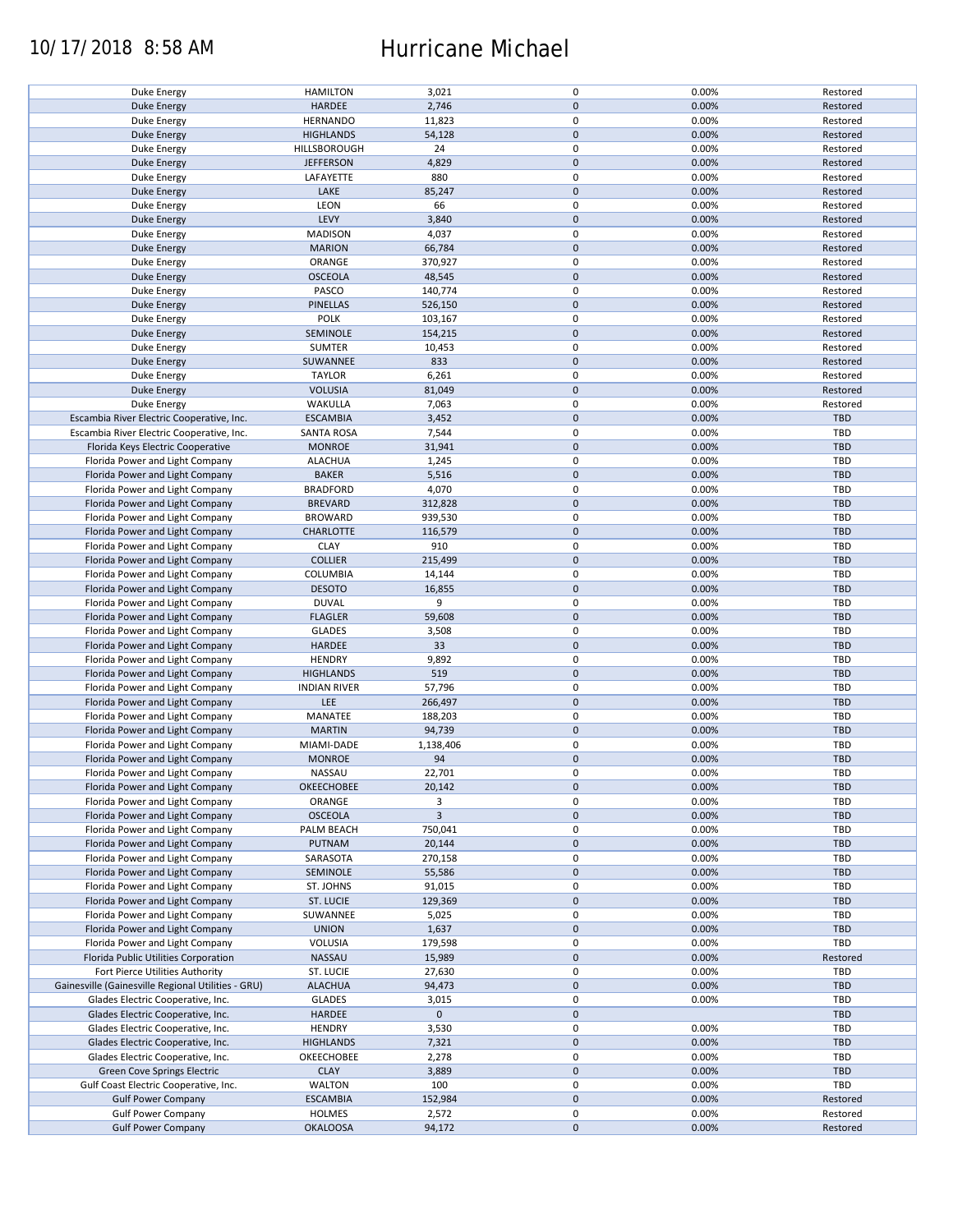## 10/17/2018 8:58 AM Hurricane Michael

| Duke Energy                                        | <b>HAMILTON</b>     | 3,021          | 0           | 0.00% | Restored   |
|----------------------------------------------------|---------------------|----------------|-------------|-------|------------|
| <b>Duke Energy</b>                                 | HARDEE              | 2,746          | $\mathbf 0$ | 0.00% | Restored   |
|                                                    |                     |                |             |       |            |
| Duke Energy                                        | <b>HERNANDO</b>     | 11,823         | 0           | 0.00% | Restored   |
| <b>Duke Energy</b>                                 | <b>HIGHLANDS</b>    | 54,128         | $\mathbf 0$ | 0.00% | Restored   |
|                                                    |                     |                |             |       |            |
| Duke Energy                                        | HILLSBOROUGH        | 24             | 0           | 0.00% | Restored   |
| <b>Duke Energy</b>                                 | <b>JEFFERSON</b>    | 4,829          | $\mathbf 0$ | 0.00% | Restored   |
| Duke Energy                                        | LAFAYETTE           | 880            | $\pmb{0}$   | 0.00% | Restored   |
|                                                    |                     |                |             |       |            |
| <b>Duke Energy</b>                                 | LAKE                | 85,247         | $\mathbf 0$ | 0.00% | Restored   |
| Duke Energy                                        | LEON                | 66             | 0           | 0.00% | Restored   |
|                                                    |                     |                |             |       |            |
| <b>Duke Energy</b>                                 | LEVY                | 3,840          | $\mathbf 0$ | 0.00% | Restored   |
| Duke Energy                                        | <b>MADISON</b>      | 4,037          | 0           | 0.00% | Restored   |
|                                                    |                     |                |             |       |            |
| <b>Duke Energy</b>                                 | <b>MARION</b>       | 66,784         | $\mathbf 0$ | 0.00% | Restored   |
| Duke Energy                                        | ORANGE              | 370,927        | 0           | 0.00% | Restored   |
| <b>Duke Energy</b>                                 | <b>OSCEOLA</b>      | 48,545         | $\mathbf 0$ | 0.00% | Restored   |
|                                                    |                     |                |             |       |            |
| Duke Energy                                        | PASCO               | 140,774        | $\pmb{0}$   | 0.00% | Restored   |
| <b>Duke Energy</b>                                 | PINELLAS            | 526,150        | $\mathbf 0$ | 0.00% | Restored   |
|                                                    |                     |                |             |       |            |
| Duke Energy                                        | <b>POLK</b>         | 103,167        | 0           | 0.00% | Restored   |
| <b>Duke Energy</b>                                 | SEMINOLE            | 154,215        | $\pmb{0}$   | 0.00% | Restored   |
|                                                    |                     |                |             |       |            |
| Duke Energy                                        | SUMTER              | 10,453         | $\pmb{0}$   | 0.00% | Restored   |
| <b>Duke Energy</b>                                 | SUWANNEE            | 833            | $\pmb{0}$   | 0.00% | Restored   |
| Duke Energy                                        | <b>TAYLOR</b>       |                | $\pmb{0}$   | 0.00% | Restored   |
|                                                    |                     | 6,261          |             |       |            |
| <b>Duke Energy</b>                                 | <b>VOLUSIA</b>      | 81,049         | $\pmb{0}$   | 0.00% | Restored   |
| Duke Energy                                        | WAKULLA             | 7,063          | 0           | 0.00% | Restored   |
|                                                    |                     |                |             |       |            |
| Escambia River Electric Cooperative, Inc.          | <b>ESCAMBIA</b>     | 3,452          | $\pmb{0}$   | 0.00% | <b>TBD</b> |
| Escambia River Electric Cooperative, Inc.          | <b>SANTA ROSA</b>   | 7,544          | $\pmb{0}$   | 0.00% | <b>TBD</b> |
|                                                    |                     |                |             |       |            |
| Florida Keys Electric Cooperative                  | <b>MONROE</b>       | 31,941         | $\pmb{0}$   | 0.00% | <b>TBD</b> |
| Florida Power and Light Company                    | <b>ALACHUA</b>      | 1,245          | $\pmb{0}$   | 0.00% | <b>TBD</b> |
|                                                    |                     |                |             |       |            |
| Florida Power and Light Company                    | <b>BAKER</b>        | 5,516          | $\pmb{0}$   | 0.00% | <b>TBD</b> |
| Florida Power and Light Company                    | <b>BRADFORD</b>     | 4,070          | $\pmb{0}$   | 0.00% | <b>TBD</b> |
| Florida Power and Light Company                    |                     |                |             |       |            |
|                                                    | <b>BREVARD</b>      | 312,828        | $\pmb{0}$   | 0.00% | <b>TBD</b> |
| Florida Power and Light Company                    | <b>BROWARD</b>      | 939,530        | $\pmb{0}$   | 0.00% | <b>TBD</b> |
| Florida Power and Light Company                    | <b>CHARLOTTE</b>    | 116,579        | $\pmb{0}$   | 0.00% | <b>TBD</b> |
|                                                    |                     |                |             |       |            |
| Florida Power and Light Company                    | <b>CLAY</b>         | 910            | 0           | 0.00% | TBD        |
| Florida Power and Light Company                    | <b>COLLIER</b>      | 215,499        | $\pmb{0}$   | 0.00% | <b>TBD</b> |
|                                                    |                     |                |             |       |            |
| Florida Power and Light Company                    | <b>COLUMBIA</b>     | 14,144         | 0           | 0.00% | TBD        |
| Florida Power and Light Company                    | <b>DESOTO</b>       | 16,855         | $\pmb{0}$   | 0.00% | <b>TBD</b> |
|                                                    |                     |                |             |       |            |
| Florida Power and Light Company                    | <b>DUVAL</b>        | 9              | 0           | 0.00% | <b>TBD</b> |
| Florida Power and Light Company                    | <b>FLAGLER</b>      | 59,608         | $\pmb{0}$   | 0.00% | <b>TBD</b> |
|                                                    |                     |                |             |       |            |
| Florida Power and Light Company                    | <b>GLADES</b>       | 3,508          | $\pmb{0}$   | 0.00% | <b>TBD</b> |
| Florida Power and Light Company                    | <b>HARDEE</b>       | 33             | $\mathbf 0$ | 0.00% | <b>TBD</b> |
|                                                    | <b>HENDRY</b>       | 9,892          | $\pmb{0}$   | 0.00% | TBD        |
| Florida Power and Light Company                    |                     |                |             |       |            |
| Florida Power and Light Company                    | <b>HIGHLANDS</b>    | 519            | $\mathbf 0$ | 0.00% | <b>TBD</b> |
| Florida Power and Light Company                    | <b>INDIAN RIVER</b> | 57,796         | $\pmb{0}$   | 0.00% | TBD        |
|                                                    |                     |                |             |       |            |
| Florida Power and Light Company                    | LEE                 | 266,497        | $\pmb{0}$   | 0.00% | <b>TBD</b> |
| Florida Power and Light Company                    | MANATEE             | 188,203        | $\pmb{0}$   | 0.00% | TBD        |
|                                                    |                     |                |             |       |            |
| Florida Power and Light Company                    | <b>MARTIN</b>       | 94,739         | $\mathbf 0$ | 0.00% | <b>TBD</b> |
| Florida Power and Light Company                    | MIAMI-DADE          | 1,138,406      | 0           | 0.00% | TBD        |
|                                                    |                     |                | $\pmb{0}$   |       |            |
| Florida Power and Light Company                    | <b>MONROE</b>       | 94             |             | 0.00% | <b>TBD</b> |
| Florida Power and Light Company                    | <b>NASSAU</b>       | 22,701         | $\pmb{0}$   | 0.00% | <b>TBD</b> |
|                                                    |                     |                | $\pmb{0}$   |       | <b>TBD</b> |
| Florida Power and Light Company                    | OKEECHOBEE          | 20,142         |             | 0.00% |            |
| Florida Power and Light Company                    | ORANGE              | 3              | 0           | 0.00% | TBD        |
| Florida Power and Light Company                    | <b>OSCEOLA</b>      | $\overline{3}$ | $\mathbf 0$ | 0.00% | <b>TBD</b> |
|                                                    |                     |                |             |       |            |
| Florida Power and Light Company                    | PALM BEACH          | 750,041        | 0           | 0.00% | <b>TBD</b> |
| Florida Power and Light Company                    | PUTNAM              | 20,144         | $\pmb{0}$   | 0.00% | <b>TBD</b> |
|                                                    |                     |                |             |       |            |
| Florida Power and Light Company                    | SARASOTA            | 270,158        | $\pmb{0}$   | 0.00% | <b>TBD</b> |
| Florida Power and Light Company                    | SEMINOLE            | 55,586         | $\pmb{0}$   | 0.00% | TBD        |
|                                                    |                     |                |             |       |            |
| Florida Power and Light Company                    | ST. JOHNS           | 91,015         | 0           | 0.00% | TBD        |
| Florida Power and Light Company                    | ST. LUCIE           | 129,369        | $\pmb{0}$   | 0.00% | <b>TBD</b> |
| Florida Power and Light Company                    | SUWANNEE            | 5,025          | 0           | 0.00% | TBD        |
|                                                    |                     |                |             |       |            |
| Florida Power and Light Company                    | <b>UNION</b>        | 1,637          | $\pmb{0}$   | 0.00% | TBD        |
| Florida Power and Light Company                    | VOLUSIA             | 179,598        | 0           | 0.00% | TBD        |
|                                                    |                     |                |             |       |            |
| Florida Public Utilities Corporation               | NASSAU              | 15,989         | $\pmb{0}$   | 0.00% | Restored   |
| Fort Pierce Utilities Authority                    | ST. LUCIE           | 27,630         | 0           | 0.00% | TBD        |
|                                                    |                     |                |             |       |            |
| Gainesville (Gainesville Regional Utilities - GRU) | <b>ALACHUA</b>      | 94,473         | $\mathbf 0$ | 0.00% | <b>TBD</b> |
| Glades Electric Cooperative, Inc.                  | <b>GLADES</b>       | 3,015          | 0           | 0.00% | TBD        |
|                                                    |                     |                |             |       |            |
| Glades Electric Cooperative, Inc.                  | HARDEE              | $\mathbf 0$    | $\mathbf 0$ |       | <b>TBD</b> |
| Glades Electric Cooperative, Inc.                  | <b>HENDRY</b>       | 3,530          | $\pmb{0}$   | 0.00% | <b>TBD</b> |
| Glades Electric Cooperative, Inc.                  | <b>HIGHLANDS</b>    | 7,321          | $\pmb{0}$   | 0.00% | TBD        |
|                                                    |                     |                |             |       |            |
| Glades Electric Cooperative, Inc.                  | OKEECHOBEE          | 2,278          | $\pmb{0}$   | 0.00% | TBD        |
| <b>Green Cove Springs Electric</b>                 | <b>CLAY</b>         | 3,889          | $\pmb{0}$   | 0.00% | <b>TBD</b> |
|                                                    |                     |                |             |       |            |
| Gulf Coast Electric Cooperative, Inc.              | <b>WALTON</b>       | 100            | $\pmb{0}$   | 0.00% | TBD        |
| <b>Gulf Power Company</b>                          | <b>ESCAMBIA</b>     | 152,984        | $\pmb{0}$   | 0.00% | Restored   |
|                                                    |                     |                |             |       |            |
| <b>Gulf Power Company</b>                          | <b>HOLMES</b>       | 2,572          | 0           | 0.00% | Restored   |
| <b>Gulf Power Company</b>                          | <b>OKALOOSA</b>     | 94,172         | $\pmb{0}$   | 0.00% | Restored   |
|                                                    |                     |                |             |       |            |